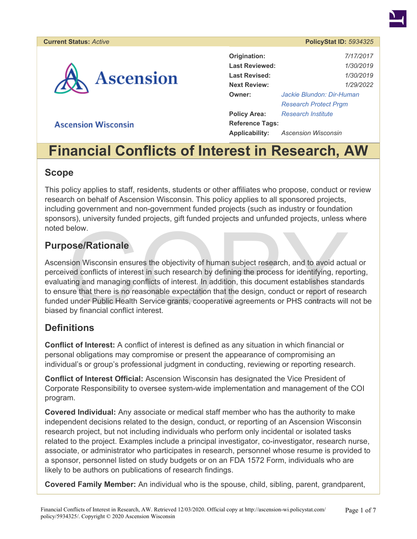# **Ascension**

| Origination:           | 7/17/2017                    |  |  |
|------------------------|------------------------------|--|--|
| <b>Last Reviewed:</b>  | 1/30/2019                    |  |  |
| Last Revised:          | 1/30/2019                    |  |  |
| <b>Next Review:</b>    | 1/29/2022                    |  |  |
| Owner:                 | Jackie Blundon: Dir-Human    |  |  |
|                        | <b>Research Protect Prgm</b> |  |  |
| <b>Policy Area:</b>    | <b>Research Institute</b>    |  |  |
| <b>Reference Tags:</b> |                              |  |  |
| <b>Applicability:</b>  | Ascension Wisconsin          |  |  |

# **Ascension Wisconsin**

# **Financial Conflicts of Interest in Research, AW**

#### **Scope**

This policy applies to staff, residents, students or other affiliates who propose, conduct or review research on behalf of Ascension Wisconsin. This policy applies to all sponsored projects, including government and non-government funded projects (such as industry or foundation sponsors), university funded projects, gift funded projects and unfunded projects, unless where noted below.

#### **Purpose/Rationale**

below.<br>
sion Wisconsin ensures the objectivity of human subject research, and to avoid act<br>
ved conflicts of interest in such research by defining the process for identifying, reporting and managing conflicts of interest. Ascension Wisconsin ensures the objectivity of human subject research, and to avoid actual or perceived conflicts of interest in such research by defining the process for identifying, reporting, evaluating and managing conflicts of interest. In addition, this document establishes standards to ensure that there is no reasonable expectation that the design, conduct or report of research funded under Public Health Service grants, cooperative agreements or PHS contracts will not be biased by financial conflict interest.

#### **Definitions**

**Conflict of Interest:** A conflict of interest is defined as any situation in which financial or personal obligations may compromise or present the appearance of compromising an individual's or group's professional judgment in conducting, reviewing or reporting research.

**Conflict of Interest Official:** Ascension Wisconsin has designated the Vice President of Corporate Responsibility to oversee system-wide implementation and management of the COI program.

**Covered Individual:** Any associate or medical staff member who has the authority to make independent decisions related to the design, conduct, or reporting of an Ascension Wisconsin research project, but not including individuals who perform only incidental or isolated tasks related to the project. Examples include a principal investigator, co-investigator, research nurse, associate, or administrator who participates in research, personnel whose resume is provided to a sponsor, personnel listed on study budgets or on an FDA 1572 Form, individuals who are likely to be authors on publications of research findings.

**Covered Family Member:** An individual who is the spouse, child, sibling, parent, grandparent,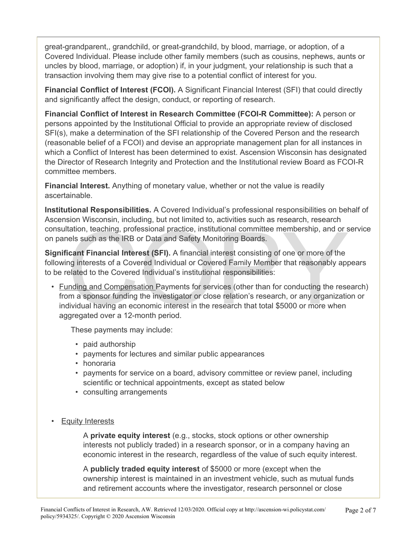great-grandparent,, grandchild, or great-grandchild, by blood, marriage, or adoption, of a Covered Individual. Please include other family members (such as cousins, nephews, aunts or uncles by blood, marriage, or adoption) if, in your judgment, your relationship is such that a transaction involving them may give rise to a potential conflict of interest for you.

**Financial Conflict of Interest (FCOI).** A Significant Financial Interest (SFI) that could directly and significantly affect the design, conduct, or reporting of research.

**Financial Conflict of Interest in Research Committee (FCOI-R Committee):** A person or persons appointed by the Institutional Official to provide an appropriate review of disclosed SFI(s), make a determination of the SFI relationship of the Covered Person and the research (reasonable belief of a FCOI) and devise an appropriate management plan for all instances in which a Conflict of Interest has been determined to exist. Ascension Wisconsin has designated the Director of Research Integrity and Protection and the Institutional review Board as FCOI-R committee members.

**Financial Interest.** Anything of monetary value, whether or not the value is readily ascertainable.

**Institutional Responsibilities.** A Covered Individual's professional responsibilities on behalf of Ascension Wisconsin, including, but not limited to, activities such as research, research consultation, teaching, professional practice, institutional committee membership, and or service on panels such as the IRB or Data and Safety Monitoring Boards.

**Significant Financial Interest (SFI).** A financial interest consisting of one or more of the following interests of a Covered Individual or Covered Family Member that reasonably appears to be related to the Covered Individual's institutional responsibilities:

Insultation, teaching, professional practice, institutional committee membership, and or solution and panels such as the IRB or Data and Safety Monitoring Boards.<br> **gnificant Financial Interest (SFI).** A financial interest • Funding and Compensation Payments for services (other than for conducting the research) from a sponsor funding the investigator or close relation's research, or any organization or individual having an economic interest in the research that total \$5000 or more when aggregated over a 12-month period.

These payments may include:

- paid authorship
- payments for lectures and similar public appearances
- honoraria
- payments for service on a board, advisory committee or review panel, including scientific or technical appointments, except as stated below
- consulting arrangements
- Equity Interests

A **private equity interest** (e.g., stocks, stock options or other ownership interests not publicly traded) in a research sponsor, or in a company having an economic interest in the research, regardless of the value of such equity interest.

A **publicly traded equity interest** of \$5000 or more (except when the ownership interest is maintained in an investment vehicle, such as mutual funds and retirement accounts where the investigator, research personnel or close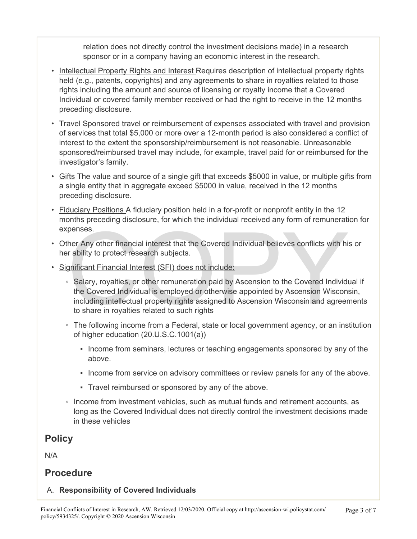relation does not directly control the investment decisions made) in a research sponsor or in a company having an economic interest in the research.

- Intellectual Property Rights and Interest Requires description of intellectual property rights held (e.g., patents, copyrights) and any agreements to share in royalties related to those rights including the amount and source of licensing or royalty income that a Covered Individual or covered family member received or had the right to receive in the 12 months preceding disclosure.
- Travel Sponsored travel or reimbursement of expenses associated with travel and provision of services that total \$5,000 or more over a 12-month period is also considered a conflict of interest to the extent the sponsorship/reimbursement is not reasonable. Unreasonable sponsored/reimbursed travel may include, for example, travel paid for or reimbursed for the investigator's family.
- Gifts The value and source of a single gift that exceeds \$5000 in value, or multiple gifts from a single entity that in aggregate exceed \$5000 in value, received in the 12 months preceding disclosure.
- Fiduciary Positions A fiduciary position held in a for-profit or nonprofit entity in the 12 months preceding disclosure, for which the individual received any form of remuneration for expenses.
- Other Any other financial interest that the Covered Individual believes conflicts with his or her ability to protect research subjects.
- Significant Financial Interest (SFI) does not include:
- penses.<br>
her Any other financial interest that the Covered Individual believes conflicts with his<br>
r ability to protect research subjects.<br>
spiricant Financial Interest (SFI) does not include:<br>
Salary, royalties, or other ◦ Salary, royalties, or other remuneration paid by Ascension to the Covered Individual if the Covered Individual is employed or otherwise appointed by Ascension Wisconsin, including intellectual property rights assigned to Ascension Wisconsin and agreements to share in royalties related to such rights
	- The following income from a Federal, state or local government agency, or an institution of higher education (20.U.S.C.1001(a))
		- **Income from seminars, lectures or teaching engagements sponsored by any of the** above.
		- **Income from service on advisory committees or review panels for any of the above.**
		- Travel reimbursed or sponsored by any of the above.
	- Income from investment vehicles, such as mutual funds and retirement accounts, as long as the Covered Individual does not directly control the investment decisions made in these vehicles

# **Policy**

N/A

## **Procedure**

#### A. **Responsibility of Covered Individuals**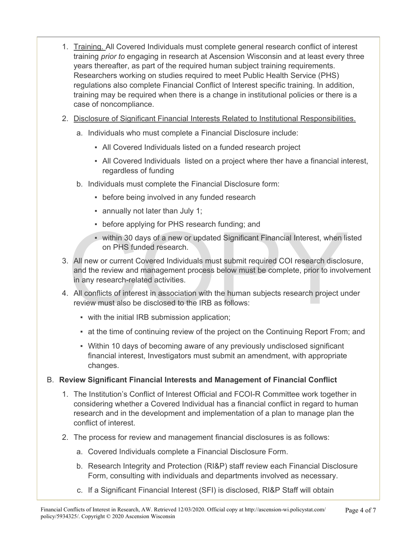- 1. Training. All Covered Individuals must complete general research conflict of interest training *prior to* engaging in research at Ascension Wisconsin and at least every three years thereafter, as part of the required human subject training requirements. Researchers working on studies required to meet Public Health Service (PHS) regulations also complete Financial Conflict of Interest specific training. In addition, training may be required when there is a change in institutional policies or there is a case of noncompliance.
- 2. Disclosure of Significant Financial Interests Related to Institutional Responsibilities.
	- a. Individuals who must complete a Financial Disclosure include:
		- All Covered Individuals listed on a funded research project
		- All Covered Individuals listed on a project where ther have a financial interest, regardless of funding
	- b. Individuals must complete the Financial Disclosure form:
		- before being involved in any funded research
		- annually not later than July 1;
		- before applying for PHS research funding; and
		- within 30 days of a new or updated Significant Financial Interest, when listed on PHS funded research.
- before applying for PHS research funding; and<br>
 within 30 days of a new or updated Significant Financial Interest, when lis<br>
on PHS funded research.<br>
All new or current Covered Individuals must submit required COI resea 3. All new or current Covered Individuals must submit required COI research disclosure, and the review and management process below must be complete, prior to involvement in any research-related activities.
- 4. All conflicts of interest in association with the human subjects research project under review must also be disclosed to the IRB as follows:
	- with the initial IRB submission application;
	- **Example 1** at the time of continuing review of the project on the Continuing Report From; and
	- Within 10 days of becoming aware of any previously undisclosed significant financial interest, Investigators must submit an amendment, with appropriate changes.

#### B. **Review Significant Financial Interests and Management of Financial Conflict**

- 1. The Institution's Conflict of Interest Official and FCOI-R Committee work together in considering whether a Covered Individual has a financial conflict in regard to human research and in the development and implementation of a plan to manage plan the conflict of interest.
- 2. The process for review and management financial disclosures is as follows:
	- a. Covered Individuals complete a Financial Disclosure Form.
	- b. Research Integrity and Protection (RI&P) staff review each Financial Disclosure Form, consulting with individuals and departments involved as necessary.
	- c. If a Significant Financial Interest (SFI) is disclosed, RI&P Staff will obtain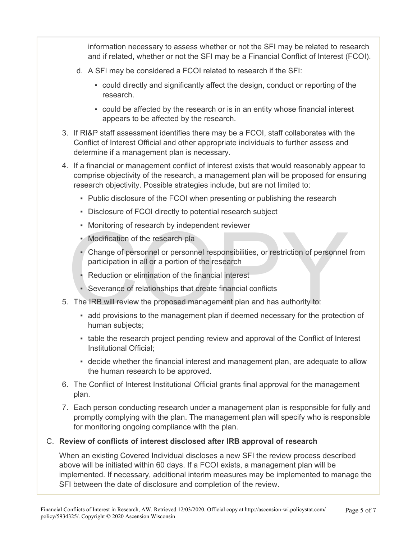information necessary to assess whether or not the SFI may be related to research and if related, whether or not the SFI may be a Financial Conflict of Interest (FCOI).

- d. A SFI may be considered a FCOI related to research if the SFI:
	- could directly and significantly affect the design, conduct or reporting of the research.
	- could be affected by the research or is in an entity whose financial interest appears to be affected by the research.
- 3. If RI&P staff assessment identifies there may be a FCOI, staff collaborates with the Conflict of Interest Official and other appropriate individuals to further assess and determine if a management plan is necessary.
- 4. If a financial or management conflict of interest exists that would reasonably appear to comprise objectivity of the research, a management plan will be proposed for ensuring research objectivity. Possible strategies include, but are not limited to:
	- Public disclosure of the FCOI when presenting or publishing the research
	- Disclosure of FCOI directly to potential research subject
	- Monitoring of research by independent reviewer
	- Modification of the research pla
	- Monitoring of research by independent reviewer<br>
	 Modification of the research pla<br>
	 Change of personnel or personnel responsibilities, or restriction of personnel<br>
	participation in all or a portion of the research<br>
	 R ▪ Change of personnel or personnel responsibilities, or restriction of personnel from participation in all or a portion of the research
		- Reduction or elimination of the financial interest
		- Severance of relationships that create financial conflicts
- 5. The IRB will review the proposed management plan and has authority to:
	- add provisions to the management plan if deemed necessary for the protection of human subjects;
	- table the research project pending review and approval of the Conflict of Interest Institutional Official;
	- decide whether the financial interest and management plan, are adequate to allow the human research to be approved.
- 6. The Conflict of Interest Institutional Official grants final approval for the management plan.
- 7. Each person conducting research under a management plan is responsible for fully and promptly complying with the plan. The management plan will specify who is responsible for monitoring ongoing compliance with the plan.

#### C. **Review of conflicts of interest disclosed after IRB approval of research**

When an existing Covered Individual discloses a new SFI the review process described above will be initiated within 60 days. If a FCOI exists, a management plan will be implemented. If necessary, additional interim measures may be implemented to manage the SFI between the date of disclosure and completion of the review.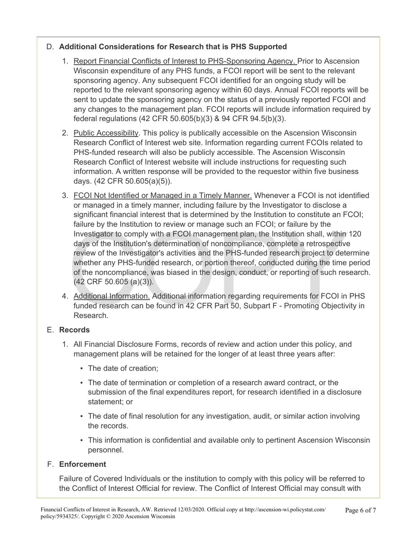#### D. **Additional Considerations for Research that is PHS Supported**

- 1. Report Financial Conflicts of Interest to PHS-Sponsoring Agency. Prior to Ascension Wisconsin expenditure of any PHS funds, a FCOI report will be sent to the relevant sponsoring agency. Any subsequent FCOI identified for an ongoing study will be reported to the relevant sponsoring agency within 60 days. Annual FCOI reports will be sent to update the sponsoring agency on the status of a previously reported FCOI and any changes to the management plan. FCOI reports will include information required by federal regulations (42 CFR 50.605(b)(3) & 94 CFR 94.5(b)(3).
- 2. Public Accessibility. This policy is publically accessible on the Ascension Wisconsin Research Conflict of Interest web site. Information regarding current FCOIs related to PHS-funded research will also be publicly accessible. The Ascension Wisconsin Research Conflict of Interest website will include instructions for requesting such information. A written response will be provided to the requestor within five business days. (42 CFR 50.605(a)(5)).
- railure by the institution to review or manage such an FCOI; or railure by the<br>Investigator to comply with a FCOI management plan, the Institution shall, within<br>days of the Institution's determination of noncompliance, com 3. FCOI Not Identified or Managed in a Timely Manner. Whenever a FCOI is not identified or managed in a timely manner, including failure by the Investigator to disclose a significant financial interest that is determined by the Institution to constitute an FCOI; failure by the Institution to review or manage such an FCOI; or failure by the Investigator to comply with a FCOI management plan, the Institution shall, within 120 days of the Institution's determination of noncompliance, complete a retrospective review of the Investigator's activities and the PHS-funded research project to determine whether any PHS-funded research, or portion thereof, conducted during the time period of the noncompliance, was biased in the design, conduct, or reporting of such research. (42 CRF 50.605 (a)(3)).
- 4. **Additional Information.** Additional information regarding requirements for FCOI in PHS funded research can be found in 42 CFR Part 50, Subpart F - Promoting Objectivity in Research.

#### E. **Records**

- 1. All Financial Disclosure Forms, records of review and action under this policy, and management plans will be retained for the longer of at least three years after:
	- The date of creation;
	- The date of termination or completion of a research award contract, or the submission of the final expenditures report, for research identified in a disclosure statement; or
	- **The date of final resolution for any investigation, audit, or similar action involving** the records.
	- This information is confidential and available only to pertinent Ascension Wisconsin personnel.

#### F. **Enforcement**

Failure of Covered Individuals or the institution to comply with this policy will be referred to the Conflict of Interest Official for review. The Conflict of Interest Official may consult with